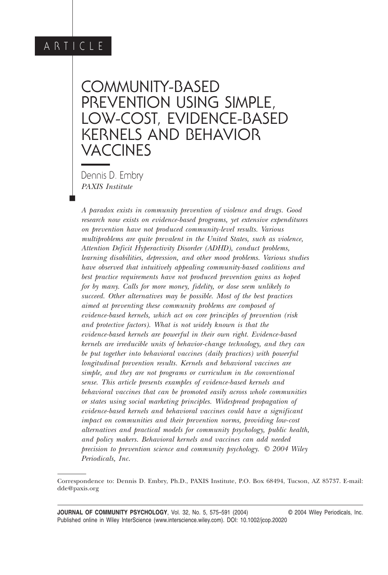Ė

COMMUNITY-BASED PREVENTION USING SIMPLE, LOW-COST, EVIDENCE-BASED KERNELS AND BEHAVIOR VACCINES

Dennis D. Embry *PAXIS Institute*

*A paradox exists in community prevention of violence and drugs. Good research now exists on evidence-based programs, yet extensive expenditures on prevention have not produced community-level results. Various multiproblems are quite prevalent in the United States, such as violence, Attention Deficit Hyperactivity Disorder (ADHD), conduct problems, learning disabilities, depression, and other mood problems. Various studies have observed that intuitively appealing community-based coalitions and best practice requirements have not produced prevention gains as hoped for by many. Calls for more money, fidelity, or dose seem unlikely to succeed. Other alternatives may be possible. Most of the best practices aimed at preventing these community problems are composed of evidence-based kernels, which act on core principles of prevention (risk and protective factors). What is not widely known is that the evidence-based kernels are powerful in their own right. Evidence-based kernels are irreducible units of behavior-change technology, and they can be put together into behavioral vaccines (daily practices) with powerful longitudinal prevention results. Kernels and behavioral vaccines are simple, and they are not programs or curriculum in the conventional sense. This article presents examples of evidence-based kernels and behavioral vaccines that can be promoted easily across whole communities or states using social marketing principles. Widespread propagation of evidence-based kernels and behavioral vaccines could have a significant impact on communities and their prevention norms, providing low-cost alternatives and practical models for community psychology, public health, and policy makers. Behavioral kernels and vaccines can add needed precision to prevention science and community psychology. © 2004 Wiley Periodicals, Inc.*

**JOURNAL OF COMMUNITY PSYCHOLOGY**, Vol. 32, No. 5, 575–591 (2004) © 2004 Wiley Periodicals, Inc. Published online in Wiley InterScience (www.interscience.wiley.com). DOI: 10.1002/jcop.20020

Correspondence to: Dennis D. Embry, Ph.D., PAXIS Institute, P.O. Box 68494, Tucson, AZ 85737. E-mail: dde@paxis.org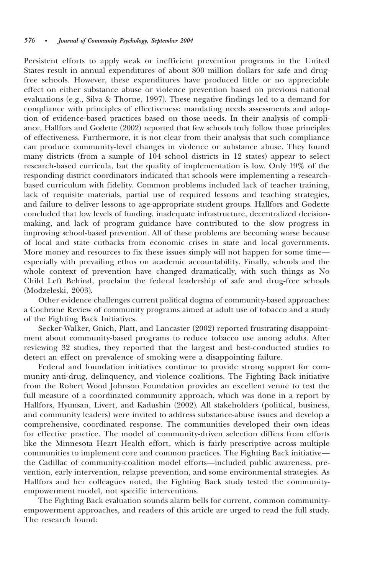Persistent efforts to apply weak or inefficient prevention programs in the United States result in annual expenditures of about 800 million dollars for safe and drugfree schools. However, these expenditures have produced little or no appreciable effect on either substance abuse or violence prevention based on previous national evaluations (e.g., Silva & Thorne, 1997). These negative findings led to a demand for compliance with principles of effectiveness: mandating needs assessments and adoption of evidence-based practices based on those needs. In their analysis of compliance, Hallfors and Godette  $(2002)$  reported that few schools truly follow those principles of effectiveness. Furthermore, it is not clear from their analysis that such compliance can produce community-level changes in violence or substance abuse. They found many districts (from a sample of  $104$  school districts in  $12$  states) appear to select research-based curricula, but the quality of implementation is low. Only 19% of the responding district coordinators indicated that schools were implementing a researchbased curriculum with fidelity. Common problems included lack of teacher training, lack of requisite materials, partial use of required lessons and teaching strategies, and failure to deliver lessons to age-appropriate student groups. Hallfors and Godette concluded that low levels of funding, inadequate infrastructure, decentralized decisionmaking, and lack of program guidance have contributed to the slow progress in improving school-based prevention. All of these problems are becoming worse because of local and state cutbacks from economic crises in state and local governments. More money and resources to fix these issues simply will not happen for some time especially with prevailing ethos on academic accountability. Finally, schools and the whole context of prevention have changed dramatically, with such things as No Child Left Behind, proclaim the federal leadership of safe and drug-free schools (Modzeleski, 2003).

Other evidence challenges current political dogma of community-based approaches: a Cochrane Review of community programs aimed at adult use of tobacco and a study of the Fighting Back Initiatives.

Secker-Walker, Gnich, Platt, and Lancaster (2002) reported frustrating disappointment about community-based programs to reduce tobacco use among adults. After reviewing 32 studies, they reported that the largest and best-conducted studies to detect an effect on prevalence of smoking were a disappointing failure.

Federal and foundation initiatives continue to provide strong support for community anti-drug, delinquency, and violence coalitions. The Fighting Back initiative from the Robert Wood Johnson Foundation provides an excellent venue to test the full measure of a coordinated community approach, which was done in a report by Hallfors, Hyunsan, Livert, and Kadushin (2002). All stakeholders (political, business, and community leaders) were invited to address substance-abuse issues and develop a comprehensive, coordinated response. The communities developed their own ideas for effective practice. The model of community-driven selection differs from efforts like the Minnesota Heart Health effort, which is fairly prescriptive across multiple communities to implement core and common practices. The Fighting Back initiative the Cadillac of community-coalition model efforts—included public awareness, prevention, early intervention, relapse prevention, and some environmental strategies. As Hallfors and her colleagues noted, the Fighting Back study tested the communityempowerment model, not specific interventions.

The Fighting Back evaluation sounds alarm bells for current, common communityempowerment approaches, and readers of this article are urged to read the full study. The research found: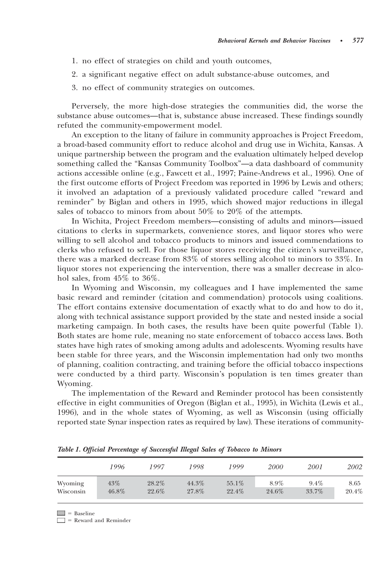- 1. no effect of strategies on child and youth outcomes,
- 2. a significant negative effect on adult substance-abuse outcomes, and
- 3. no effect of community strategies on outcomes.

Perversely, the more high-dose strategies the communities did, the worse the substance abuse outcomes—that is, substance abuse increased. These findings soundly refuted the community-empowerment model.

An exception to the litany of failure in community approaches is Project Freedom, a broad-based community effort to reduce alcohol and drug use in Wichita, Kansas. A unique partnership between the program and the evaluation ultimately helped develop something called the "Kansas Community Toolbox"—a data dashboard of community actions accessible online  $(e.g., Fawcett et al., 1997; Paine-Andrews et al., 1996)$ . One of the first outcome efforts of Project Freedom was reported in 1996 by Lewis and others; it involved an adaptation of a previously validated procedure called "reward and reminder" by Biglan and others in 1995, which showed major reductions in illegal sales of tobacco to minors from about 50% to 20% of the attempts.

In Wichita, Project Freedom members—consisting of adults and minors—issued citations to clerks in supermarkets, convenience stores, and liquor stores who were willing to sell alcohol and tobacco products to minors and issued commendations to clerks who refused to sell. For those liquor stores receiving the citizen's surveillance, there was a marked decrease from 83% of stores selling alcohol to minors to 33%. In liquor stores not experiencing the intervention, there was a smaller decrease in alcohol sales, from 45% to 36%.

In Wyoming and Wisconsin, my colleagues and I have implemented the same basic reward and reminder (citation and commendation) protocols using coalitions. The effort contains extensive documentation of exactly what to do and how to do it, along with technical assistance support provided by the state and nested inside a social marketing campaign. In both cases, the results have been quite powerful (Table 1). Both states are home rule, meaning no state enforcement of tobacco access laws. Both states have high rates of smoking among adults and adolescents. Wyoming results have been stable for three years, and the Wisconsin implementation had only two months of planning, coalition contracting, and training before the official tobacco inspections were conducted by a third party. Wisconsin's population is ten times greater than Wyoming.

The implementation of the Reward and Reminder protocol has been consistently effective in eight communities of Oregon (Biglan et al., 1995), in Wichita (Lewis et al., 1996), and in the whole states of Wyoming, as well as Wisconsin (using officially reported state Synar inspection rates as required by law). These iterations of community-

|           | 1996  | 1997  | 1998  | 1999  | 2000    | 2001    | 2002  |
|-----------|-------|-------|-------|-------|---------|---------|-------|
| Wyoming   | 43%   | 28.2% | 44.3% | 55.1% | $8.9\%$ | $9.4\%$ | 8.65  |
| Wisconsin | 46.8% | 22.6% | 27.8% | 22.4% | 24.6%   | 33.7%   | 20.4% |

*Table 1. Official Percentage of Successful Illegal Sales of Tobacco to Minors*

 $\Box$  = Baseline

 $\Box$  = Reward and Reminder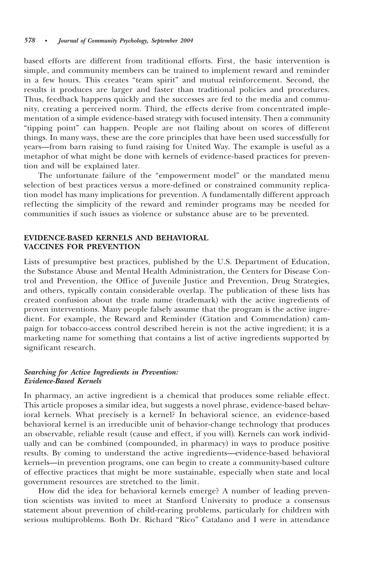based efforts are different from traditional efforts. First, the basic intervention is simple, and community members can be trained to implement reward and reminder in a few hours. This creates "team spirit" and mutual reinforcement. Second, the results it produces are larger and faster than traditional policies and procedures. Thus, feedback happens quickly and the successes are fed to the media and community, creating a perceived norm. Third, the effects derive from concentrated implementation of a simple evidence-based strategy with focused intensity. Then a community "tipping point" can happen. People are not flailing about on scores of different things. In many ways, these are the core principles that have been used successfully for years—from barn raising to fund raising for United Way. The example is useful as a metaphor of what might be done with kernels of evidence-based practices for prevention and will be explained later.

The unfortunate failure of the "empowerment model" or the mandated menu selection of best practices versus a more-defined or constrained community replication model has many implications for prevention. A fundamentally different approach reflecting the simplicity of the reward and reminder programs may be needed for communities if such issues as violence or substance abuse are to be prevented.

## **EVIDENCE-BASED KERNELS AND BEHAVIORAL VACCINES FOR PREVENTION**

Lists of presumptive best practices, published by the U.S. Department of Education, the Substance Abuse and Mental Health Administration, the Centers for Disease Control and Prevention, the Office of Juvenile Justice and Prevention, Drug Strategies, and others, typically contain considerable overlap. The publication of these lists has created confusion about the trade name (trademark) with the active ingredients of proven interventions. Many people falsely assume that the program is the active ingredient. For example, the Reward and Reminder (Citation and Commendation) campaign for tobacco-access control described herein is not the active ingredient; it is a marketing name for something that contains a list of active ingredients supported by significant research.

## *Searching for Active Ingredients in Prevention: Evidence-Based Kernels*

In pharmacy, an active ingredient is a chemical that produces some reliable effect. This article proposes a similar idea, but suggests a novel phrase, evidence-based behavioral kernels. What precisely is a kernel? In behavioral science, an evidence-based behavioral kernel is an irreducible unit of behavior-change technology that produces an observable, reliable result (cause and effect, if you will). Kernels can work individually and can be combined (compounded, in pharmacy) in ways to produce positive results. By coming to understand the active ingredients—evidence-based behavioral kernels—in prevention programs, one can begin to create a community-based culture of effective practices that might be more sustainable, especially when state and local government resources are stretched to the limit.

How did the idea for behavioral kernels emerge? A number of leading prevention scientists was invited to meet at Stanford University to produce a consensus statement about prevention of child-rearing problems, particularly for children with serious multiproblems. Both Dr. Richard "Rico" Catalano and I were in attendance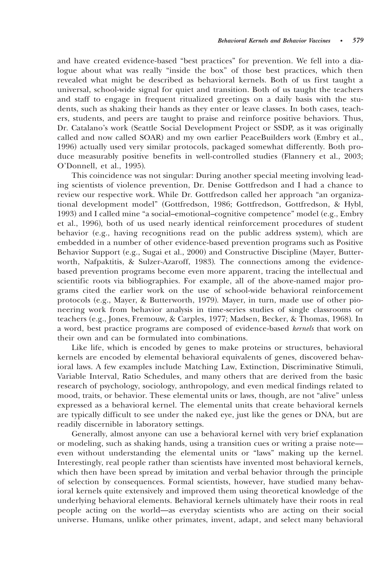and have created evidence-based "best practices" for prevention. We fell into a dialogue about what was really "inside the box" of those best practices, which then revealed what might be described as behavioral kernels. Both of us first taught a universal, school-wide signal for quiet and transition. Both of us taught the teachers and staff to engage in frequent ritualized greetings on a daily basis with the students, such as shaking their hands as they enter or leave classes. In both cases, teachers, students, and peers are taught to praise and reinforce positive behaviors. Thus, Dr. Catalano's work (Seattle Social Development Project or SSDP, as it was originally called and now called SOAR) and my own earlier PeaceBuilders work (Embry et al., 1996) actually used very similar protocols, packaged somewhat differently. Both produce measurably positive benefits in well-controlled studies (Flannery et al., 2003; O'Donnell, et al., 1995).

This coincidence was not singular: During another special meeting involving leading scientists of violence prevention, Dr. Denise Gottfredson and I had a chance to review our respective work. While Dr. Gottfredson called her approach "an organizational development model" (Gottfredson, 1986; Gottfredson, Gottfredson, & Hybl, 1993) and I called mine "a social–emotional–cognitive competence" model  $(e.g., Embry$ et al., 1996), both of us used nearly identical reinforcement procedures of student behavior  $(e.g.,$  having recognitions read on the public address system), which are embedded in a number of other evidence-based prevention programs such as Positive Behavior Support (e.g., Sugai et al., 2000) and Constructive Discipline (Mayer, Butterworth, Nafpaktitis, & Sulzer-Azaroff, 1983). The connections among the evidencebased prevention programs become even more apparent, tracing the intellectual and scientific roots via bibliographies. For example, all of the above-named major programs cited the earlier work on the use of school-wide behavioral reinforcement protocols (e.g., Mayer, & Butterworth, 1979). Mayer, in turn, made use of other pioneering work from behavior analysis in time-series studies of single classrooms or teachers (e.g., Jones, Fremouw, & Carples, 1977; Madsen, Becker, & Thomas, 1968). In a word, best practice programs are composed of evidence-based *kernels* that work on their own and can be formulated into combinations.

Like life, which is encoded by genes to make proteins or structures, behavioral kernels are encoded by elemental behavioral equivalents of genes, discovered behavioral laws. A few examples include Matching Law, Extinction, Discriminative Stimuli, Variable Interval, Ratio Schedules, and many others that are derived from the basic research of psychology, sociology, anthropology, and even medical findings related to mood, traits, or behavior. These elemental units or laws, though, are not "alive" unless expressed as a behavioral kernel. The elemental units that create behavioral kernels are typically difficult to see under the naked eye, just like the genes or DNA, but are readily discernible in laboratory settings.

Generally, almost anyone can use a behavioral kernel with very brief explanation or modeling, such as shaking hands, using a transition cues or writing a praise note even without understanding the elemental units or "laws" making up the kernel. Interestingly, real people rather than scientists have invented most behavioral kernels, which then have been spread by imitation and verbal behavior through the principle of selection by consequences. Formal scientists, however, have studied many behavioral kernels quite extensively and improved them using theoretical knowledge of the underlying behavioral elements. Behavioral kernels ultimately have their roots in real people acting on the world—as everyday scientists who are acting on their social universe. Humans, unlike other primates, invent, adapt, and select many behavioral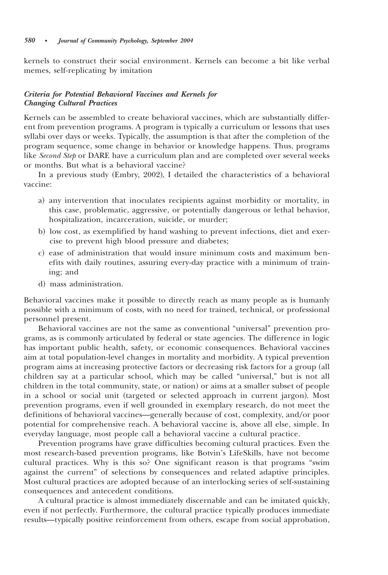kernels to construct their social environment. Kernels can become a bit like verbal memes, self-replicating by imitation

# *Criteria for Potential Behavioral Vaccines and Kernels for Changing Cultural Practices*

Kernels can be assembled to create behavioral vaccines, which are substantially different from prevention programs. A program is typically a curriculum or lessons that uses syllabi over days or weeks. Typically, the assumption is that after the completion of the program sequence, some change in behavior or knowledge happens. Thus, programs like *Second Step* or DARE have a curriculum plan and are completed over several weeks or months. But what is a behavioral vaccine?

In a previous study  $(Embry, 2002)$ , I detailed the characteristics of a behavioral vaccine:

- a) any intervention that inoculates recipients against morbidity or mortality, in this case, problematic, aggressive, or potentially dangerous or lethal behavior, hospitalization, incarceration, suicide, or murder;
- b) low cost, as exemplified by hand washing to prevent infections, diet and exercise to prevent high blood pressure and diabetes;
- c) ease of administration that would insure minimum costs and maximum benefits with daily routines, assuring every-day practice with a minimum of training; and
- d) mass administration.

Behavioral vaccines make it possible to directly reach as many people as is humanly possible with a minimum of costs, with no need for trained, technical, or professional personnel present.

Behavioral vaccines are not the same as conventional "universal" prevention programs, as is commonly articulated by federal or state agencies. The difference in logic has important public health, safety, or economic consequences. Behavioral vaccines aim at total population-level changes in mortality and morbidity. A typical prevention program aims at increasing protective factors or decreasing risk factors for a group (all children say at a particular school, which may be called "universal," but is not all children in the total community, state, or nation) or aims at a smaller subset of people in a school or social unit (targeted or selected approach in current jargon). Most prevention programs, even if well grounded in exemplary research, do not meet the definitions of behavioral vaccines—generally because of cost, complexity, and/or poor potential for comprehensive reach. A behavioral vaccine is, above all else, simple. In everyday language, most people call a behavioral vaccine a cultural practice.

Prevention programs have grave difficulties becoming cultural practices. Even the most research-based prevention programs, like Botvin's LifeSkills, have not become cultural practices. Why is this so? One significant reason is that programs "swim against the current" of selections by consequences and related adaptive principles. Most cultural practices are adopted because of an interlocking series of self-sustaining consequences and antecedent conditions.

A cultural practice is almost immediately discernable and can be imitated quickly, even if not perfectly. Furthermore, the cultural practice typically produces immediate results—typically positive reinforcement from others, escape from social approbation,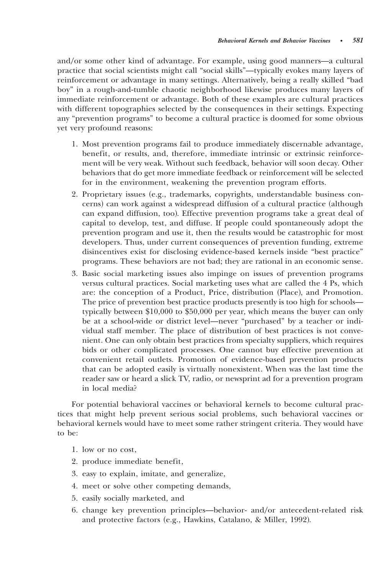and/or some other kind of advantage. For example, using good manners—a cultural practice that social scientists might call "social skills"—typically evokes many layers of reinforcement or advantage in many settings. Alternatively, being a really skilled "bad boy" in a rough-and-tumble chaotic neighborhood likewise produces many layers of immediate reinforcement or advantage. Both of these examples are cultural practices with different topographies selected by the consequences in their settings. Expecting any "prevention programs" to become a cultural practice is doomed for some obvious yet very profound reasons:

- 1. Most prevention programs fail to produce immediately discernable advantage, benefit, or results, and, therefore, immediate intrinsic or extrinsic reinforcement will be very weak. Without such feedback, behavior will soon decay. Other behaviors that do get more immediate feedback or reinforcement will be selected for in the environment, weakening the prevention program efforts.
- 2. Proprietary issues (e.g., trademarks, copyrights, understandable business concerns) can work against a widespread diffusion of a cultural practice (although can expand diffusion, too). Effective prevention programs take a great deal of capital to develop, test, and diffuse. If people could spontaneously adopt the prevention program and use it, then the results would be catastrophic for most developers. Thus, under current consequences of prevention funding, extreme disincentives exist for disclosing evidence-based kernels inside "best practice" programs. These behaviors are not bad; they are rational in an economic sense.
- 3. Basic social marketing issues also impinge on issues of prevention programs versus cultural practices. Social marketing uses what are called the 4 Ps, which are: the conception of a Product, Price, distribution (Place), and Promotion. The price of prevention best practice products presently is too high for schools typically between \$10,000 to \$50,000 per year, which means the buyer can only be at a school-wide or district level—never "purchased" by a teacher or individual staff member. The place of distribution of best practices is not convenient. One can only obtain best practices from specialty suppliers, which requires bids or other complicated processes. One cannot buy effective prevention at convenient retail outlets. Promotion of evidence-based prevention products that can be adopted easily is virtually nonexistent. When was the last time the reader saw or heard a slick TV, radio, or newsprint ad for a prevention program in local media?

For potential behavioral vaccines or behavioral kernels to become cultural practices that might help prevent serious social problems, such behavioral vaccines or behavioral kernels would have to meet some rather stringent criteria. They would have to be:

- 1. low or no cost,
- 2. produce immediate benefit,
- 3. easy to explain, imitate, and generalize,
- 4. meet or solve other competing demands,
- 5. easily socially marketed, and
- 6. change key prevention principles—behavior- and/or antecedent-related risk and protective factors (e.g., Hawkins, Catalano, & Miller, 1992).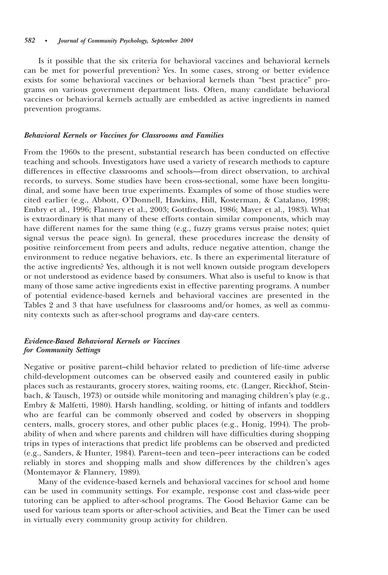Is it possible that the six criteria for behavioral vaccines and behavioral kernels can be met for powerful prevention? Yes. In some cases, strong or better evidence exists for some behavioral vaccines or behavioral kernels than "best practice" programs on various government department lists. Often, many candidate behavioral vaccines or behavioral kernels actually are embedded as active ingredients in named prevention programs.

## *Behavioral Kernels or Vaccines for Classrooms and Families*

From the 1960s to the present, substantial research has been conducted on effective teaching and schools. Investigators have used a variety of research methods to capture differences in effective classrooms and schools—from direct observation, to archival records, to surveys. Some studies have been cross-sectional, some have been longitudinal, and some have been true experiments. Examples of some of those studies were cited earlier ~e.g., Abbott, O'Donnell, Hawkins, Hill, Kosterman, & Catalano, 1998; Embry et al., 1996; Flannery et al., 2003; Gottfredson, 1986; Mayer et al., 1983). What is extraordinary is that many of these efforts contain similar components, which may have different names for the same thing  $(e.g., fuzzy grams)$  versus praise notes; quiet signal versus the peace sign). In general, these procedures increase the density of positive reinforcement from peers and adults, reduce negative attention, change the environment to reduce negative behaviors, etc. Is there an experimental literature of the active ingredients? Yes, although it is not well known outside program developers or not understood as evidence based by consumers. What also is useful to know is that many of those same active ingredients exist in effective parenting programs. A number of potential evidence-based kernels and behavioral vaccines are presented in the Tables 2 and 3 that have usefulness for classrooms and/or homes, as well as community contexts such as after-school programs and day-care centers.

## *Evidence-Based Behavioral Kernels or Vaccines for Community Settings*

Negative or positive parent–child behavior related to prediction of life-time adverse child-development outcomes can be observed easily and countered easily in public places such as restaurants, grocery stores, waiting rooms, etc. (Langer, Rieckhof, Steinbach, & Tausch, 1973) or outside while monitoring and managing children's play (e.g., Embry & Malfetti, 1980!. Harsh handling, scolding, or hitting of infants and toddlers who are fearful can be commonly observed and coded by observers in shopping centers, malls, grocery stores, and other public places (e.g., Honig, 1994). The probability of when and where parents and children will have difficulties during shopping trips in types of interactions that predict life problems can be observed and predicted ~e.g., Sanders, & Hunter, 1984!. Parent–teen and teen–peer interactions can be coded reliably in stores and shopping malls and show differences by the children's ages (Montemayor & Flannery, 1989).

Many of the evidence-based kernels and behavioral vaccines for school and home can be used in community settings. For example, response cost and class-wide peer tutoring can be applied to after-school programs. The Good Behavior Game can be used for various team sports or after-school activities, and Beat the Timer can be used in virtually every community group activity for children.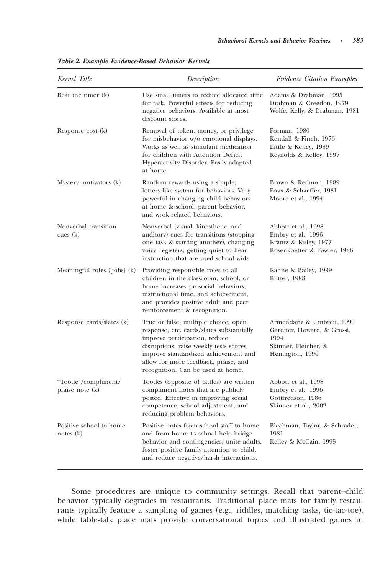| Kernel Title                            | Description                                                                                                                                                                                                                                                                        | <i>Evidence Citation Examples</i>                                                                           |
|-----------------------------------------|------------------------------------------------------------------------------------------------------------------------------------------------------------------------------------------------------------------------------------------------------------------------------------|-------------------------------------------------------------------------------------------------------------|
| Beat the timer (k)                      | Use small timers to reduce allocated time<br>for task. Powerful effects for reducing<br>negative behaviors. Available at most<br>discount stores.                                                                                                                                  | Adams & Drabman, 1995<br>Drabman & Creedon, 1979<br>Wolfe, Kelly, & Drabman, 1981                           |
| Response cost (k)                       | Removal of token, money, or privilege<br>for misbehavior w/o emotional displays.<br>Works as well as stimulant medication<br>for children with Attention Deficit<br>Hyperactivity Disorder. Easily adapted<br>at home.                                                             | Forman, 1980<br>Kendall & Finch, 1976<br>Little & Kelley, 1989<br>Reynolds & Kelley, 1997                   |
| Mystery motivators (k)                  | Random rewards using a simple,<br>lottery-like system for behaviors. Very<br>powerful in changing child behaviors<br>at home & school, parent behavior,<br>and work-related behaviors.                                                                                             | Brown & Redmon, 1989<br>Foxx & Schaeffer, 1981<br>Moore et al., 1994                                        |
| Nonverbal transition<br>cues (k)        | Nonverbal (visual, kinesthetic, and<br>auditory) cues for transitions (stopping<br>one task & starting another), changing<br>voice registers, getting quiet to hear<br>instruction that are used school wide.                                                                      | Abbott et al., 1998<br>Embry et al., 1996<br>Krantz & Risley, 1977<br>Rosenkoetter & Fowler, 1986           |
| Meaningful roles (jobs) (k)             | Providing responsible roles to all<br>children in the classroom, school, or<br>home increases prosocial behaviors,<br>instructional time, and achievement,<br>and provides positive adult and peer<br>reinforcement & recognition.                                                 | Kahne & Bailey, 1999<br>Rutter, 1983                                                                        |
| Response cards/slates (k)               | True or false, multiple choice, open<br>response, etc. cards/slates substantially<br>improve participation, reduce<br>disruptions, raise weekly tests scores,<br>improve standardized achievement and<br>allow for more feedback, praise, and<br>recognition. Can be used at home. | Armendariz & Umbreit, 1999<br>Gardner, Howard, & Grossi,<br>1994<br>Skinner, Fletcher, &<br>Henington, 1996 |
| "Tootle"/compliment/<br>praise note (k) | Tootles (opposite of tattles) are written<br>compliment notes that are publicly<br>posted. Effective in improving social<br>competence, school adjustment, and<br>reducing problem behaviors.                                                                                      | Abbott et al., 1998<br>Embry et al., 1996<br>Gottfredson, 1986<br>Skinner et al., 2002                      |
| Positive school-to-home<br>notes (k)    | Positive notes from school staff to home<br>and from home to school help bridge<br>behavior and contingencies, unite adults,<br>foster positive family attention to child,<br>and reduce negative/harsh interactions.                                                              | Blechman, Taylor, & Schrader,<br>1981<br>Kelley & McCain, 1995                                              |

*Table 2. Example Evidence-Based Behavior Kernels*

Some procedures are unique to community settings. Recall that parent–child behavior typically degrades in restaurants. Traditional place mats for family restaurants typically feature a sampling of games (e.g., riddles, matching tasks, tic-tac-toe), while table-talk place mats provide conversational topics and illustrated games in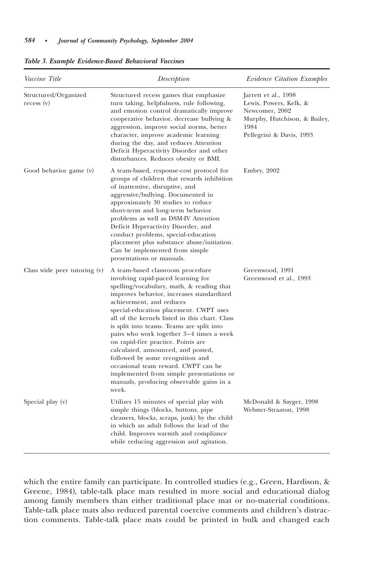| <i>Vaccine Title</i>                     | Description                                                                                                                                                                                                                                                                                                                                                                                                                                                                                                                                                                                                                               | <i>Evidence Citation Examples</i>                                                                                                    |
|------------------------------------------|-------------------------------------------------------------------------------------------------------------------------------------------------------------------------------------------------------------------------------------------------------------------------------------------------------------------------------------------------------------------------------------------------------------------------------------------------------------------------------------------------------------------------------------------------------------------------------------------------------------------------------------------|--------------------------------------------------------------------------------------------------------------------------------------|
| Structured/Organized<br>$r$ recess $(v)$ | Structured recess games that emphasize<br>turn taking, helpfulness, rule following,<br>and emotion control dramatically improve<br>cooperative behavior, decrease bullying &<br>aggression, improve social norms, better<br>character, improve academic learning<br>during the day, and reduces Attention<br>Deficit Hyperactivity Disorder and other<br>disturbances. Reduces obesity or BMI.                                                                                                                                                                                                                                            | Jarrett et al., 1998<br>Lewis, Powers, Kelk, &<br>Newcomer, 2002<br>Murphy, Hutchison, & Bailey,<br>1984<br>Pellegrini & Davis, 1993 |
| Good behavior game (v)                   | A team-based, response-cost protocol for<br>groups of children that rewards inhibition<br>of inattentive, disruptive, and<br>aggressive/bullying. Documented in<br>approximately 30 studies to reduce<br>short-term and long-term behavior<br>problems as well as DSM-IV Attention<br>Deficit Hyperactivity Disorder, and<br>conduct problems, special-education<br>placement plus substance abuse/initiation.<br>Can be implemented from simple<br>presentations or manuals.                                                                                                                                                             | <b>Embry</b> , 2002                                                                                                                  |
| Class wide peer tutoring (v)             | A team-based classroom procedure<br>involving rapid-paced learning for<br>spelling/vocabulary, math, & reading that<br>improves behavior, increases standardized<br>achievement, and reduces<br>special-education placement. CWPT uses<br>all of the kernels listed in this chart. Class<br>is split into teams. Teams are split into<br>pairs who work together 3–4 times a week<br>on rapid-fire practice. Points are<br>calculated, announced, and posted,<br>followed by some recognition and<br>occasional team reward. CWPT can be<br>implemented from simple presentations or<br>manuals, producing observable gains in a<br>week. | Greenwood, 1991<br>Greenwood et al., 1993                                                                                            |
| Special play (v)                         | Utilizes 15 minutes of special play with<br>simple things (blocks, buttons, pipe<br>cleaners, blocks, scraps, junk) by the child<br>in which an adult follows the lead of the<br>child. Improves warmth and compliance<br>while reducing aggression and agitation.                                                                                                                                                                                                                                                                                                                                                                        | McDonald & Sayger, 1998<br>Webster-Straaton, 1998                                                                                    |

#### *Table 3. Example Evidence-Based Behavioral Vaccines*

which the entire family can participate. In controlled studies (e.g., Green, Hardison, & Greene, 1984), table-talk place mats resulted in more social and educational dialog among family members than either traditional place mat or no-material conditions. Table-talk place mats also reduced parental coercive comments and children's distraction comments. Table-talk place mats could be printed in bulk and changed each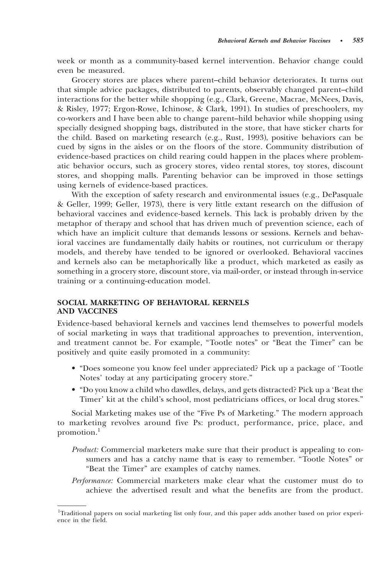week or month as a community-based kernel intervention. Behavior change could even be measured.

Grocery stores are places where parent–child behavior deteriorates. It turns out that simple advice packages, distributed to parents, observably changed parent–child interactions for the better while shopping (e.g., Clark, Greene, Macrae, McNees, Davis, & Risley, 1977; Ergon-Rowe, Ichinose, & Clark, 1991). In studies of preschoolers, my co-workers and I have been able to change parent–hild behavior while shopping using specially designed shopping bags, distributed in the store, that have sticker charts for the child. Based on marketing research  $(e.g., Rust, 1993)$ , positive behaviors can be cued by signs in the aisles or on the floors of the store. Community distribution of evidence-based practices on child rearing could happen in the places where problematic behavior occurs, such as grocery stores, video rental stores, toy stores, discount stores, and shopping malls. Parenting behavior can be improved in those settings using kernels of evidence-based practices.

With the exception of safety research and environmental issues  $(e.g., DePa<sub>s</sub>quale$ & Geller, 1999; Geller, 1973), there is very little extant research on the diffusion of behavioral vaccines and evidence-based kernels. This lack is probably driven by the metaphor of therapy and school that has driven much of prevention science, each of which have an implicit culture that demands lessons or sessions. Kernels and behavioral vaccines are fundamentally daily habits or routines, not curriculum or therapy models, and thereby have tended to be ignored or overlooked. Behavioral vaccines and kernels also can be metaphorically like a product, which marketed as easily as something in a grocery store, discount store, via mail-order, or instead through in-service training or a continuing-education model.

## **SOCIAL MARKETING OF BEHAVIORAL KERNELS AND VACCINES**

Evidence-based behavioral kernels and vaccines lend themselves to powerful models of social marketing in ways that traditional approaches to prevention, intervention, and treatment cannot be. For example, "Tootle notes" or "Beat the Timer" can be positively and quite easily promoted in a community:

- "Does someone you know feel under appreciated? Pick up a package of 'Tootle Notes' today at any participating grocery store."
- "Do you know a child who dawdles, delays, and gets distracted? Pick up a 'Beat the Timer' kit at the child's school, most pediatricians offices, or local drug stores."

Social Marketing makes use of the "Five Ps of Marketing." The modern approach to marketing revolves around five Ps: product, performance, price, place, and promotion.1

- *Product:* Commercial marketers make sure that their product is appealing to consumers and has a catchy name that is easy to remember. "Tootle Notes" or "Beat the Timer" are examples of catchy names.
- *Performance:* Commercial marketers make clear what the customer must do to achieve the advertised result and what the benefits are from the product.

<sup>1</sup>Traditional papers on social marketing list only four, and this paper adds another based on prior experience in the field.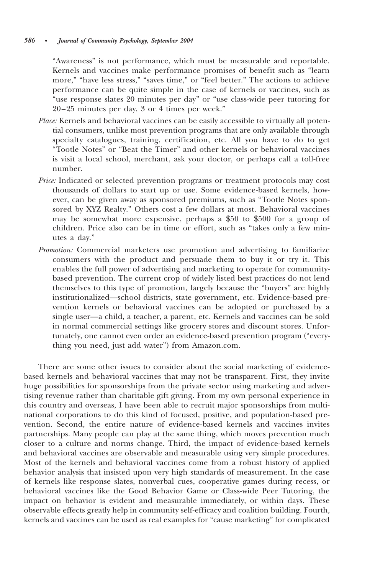"Awareness" is not performance, which must be measurable and reportable. Kernels and vaccines make performance promises of benefit such as "learn more," "have less stress," "saves time," or "feel better." The actions to achieve performance can be quite simple in the case of kernels or vaccines, such as "use response slates 20 minutes per day" or "use class-wide peer tutoring for 20–25 minutes per day, 3 or 4 times per week."

- *Place:* Kernels and behavioral vaccines can be easily accessible to virtually all potential consumers, unlike most prevention programs that are only available through specialty catalogues, training, certification, etc. All you have to do to get "Tootle Notes" or "Beat the Timer" and other kernels or behavioral vaccines is visit a local school, merchant, ask your doctor, or perhaps call a toll-free number.
- *Price:* Indicated or selected prevention programs or treatment protocols may cost thousands of dollars to start up or use. Some evidence-based kernels, however, can be given away as sponsored premiums, such as "Tootle Notes sponsored by XYZ Realty." Others cost a few dollars at most. Behavioral vaccines may be somewhat more expensive, perhaps a \$50 to \$500 for a group of children. Price also can be in time or effort, such as "takes only a few minutes a day."
- *Promotion:* Commercial marketers use promotion and advertising to familiarize consumers with the product and persuade them to buy it or try it. This enables the full power of advertising and marketing to operate for communitybased prevention. The current crop of widely listed best practices do not lend themselves to this type of promotion, largely because the "buyers" are highly institutionalized—school districts, state government, etc. Evidence-based prevention kernels or behavioral vaccines can be adopted or purchased by a single user—a child, a teacher, a parent, etc. Kernels and vaccines can be sold in normal commercial settings like grocery stores and discount stores. Unfortunately, one cannot even order an evidence-based prevention program ("everything you need, just add water") from Amazon.com.

There are some other issues to consider about the social marketing of evidencebased kernels and behavioral vaccines that may not be transparent. First, they invite huge possibilities for sponsorships from the private sector using marketing and advertising revenue rather than charitable gift giving. From my own personal experience in this country and overseas, I have been able to recruit major sponsorships from multinational corporations to do this kind of focused, positive, and population-based prevention. Second, the entire nature of evidence-based kernels and vaccines invites partnerships. Many people can play at the same thing, which moves prevention much closer to a culture and norms change. Third, the impact of evidence-based kernels and behavioral vaccines are observable and measurable using very simple procedures. Most of the kernels and behavioral vaccines come from a robust history of applied behavior analysis that insisted upon very high standards of measurement. In the case of kernels like response slates, nonverbal cues, cooperative games during recess, or behavioral vaccines like the Good Behavior Game or Class-wide Peer Tutoring, the impact on behavior is evident and measurable immediately, or within days. These observable effects greatly help in community self-efficacy and coalition building. Fourth, kernels and vaccines can be used as real examples for "cause marketing" for complicated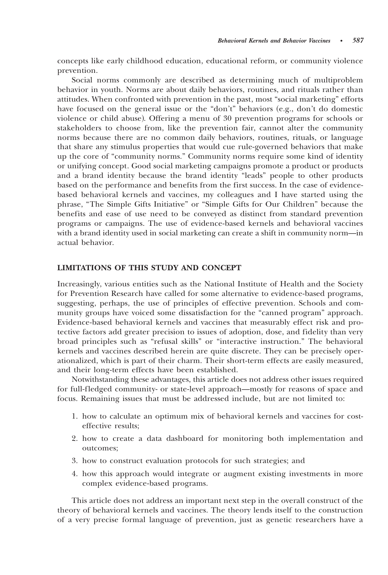concepts like early childhood education, educational reform, or community violence prevention.

Social norms commonly are described as determining much of multiproblem behavior in youth. Norms are about daily behaviors, routines, and rituals rather than attitudes. When confronted with prevention in the past, most "social marketing" efforts have focused on the general issue or the "don't" behaviors  $(e.g., don't do domestic$ violence or child abuse!. Offering a menu of 30 prevention programs for schools or stakeholders to choose from, like the prevention fair, cannot alter the community norms because there are no common daily behaviors, routines, rituals, or language that share any stimulus properties that would cue rule-governed behaviors that make up the core of "community norms." Community norms require some kind of identity or unifying concept. Good social marketing campaigns promote a product or products and a brand identity because the brand identity "leads" people to other products based on the performance and benefits from the first success. In the case of evidencebased behavioral kernels and vaccines, my colleagues and I have started using the phrase, "The Simple Gifts Initiative" or "Simple Gifts for Our Children" because the benefits and ease of use need to be conveyed as distinct from standard prevention programs or campaigns. The use of evidence-based kernels and behavioral vaccines with a brand identity used in social marketing can create a shift in community norm—in actual behavior.

## **LIMITATIONS OF THIS STUDY AND CONCEPT**

Increasingly, various entities such as the National Institute of Health and the Society for Prevention Research have called for some alternative to evidence-based programs, suggesting, perhaps, the use of principles of effective prevention. Schools and community groups have voiced some dissatisfaction for the "canned program" approach. Evidence-based behavioral kernels and vaccines that measurably effect risk and protective factors add greater precision to issues of adoption, dose, and fidelity than very broad principles such as "refusal skills" or "interactive instruction." The behavioral kernels and vaccines described herein are quite discrete. They can be precisely operationalized, which is part of their charm. Their short-term effects are easily measured, and their long-term effects have been established.

Notwithstanding these advantages, this article does not address other issues required for full-fledged community- or state-level approach—mostly for reasons of space and focus. Remaining issues that must be addressed include, but are not limited to:

- 1. how to calculate an optimum mix of behavioral kernels and vaccines for costeffective results;
- 2. how to create a data dashboard for monitoring both implementation and outcomes;
- 3. how to construct evaluation protocols for such strategies; and
- 4. how this approach would integrate or augment existing investments in more complex evidence-based programs.

This article does not address an important next step in the overall construct of the theory of behavioral kernels and vaccines. The theory lends itself to the construction of a very precise formal language of prevention, just as genetic researchers have a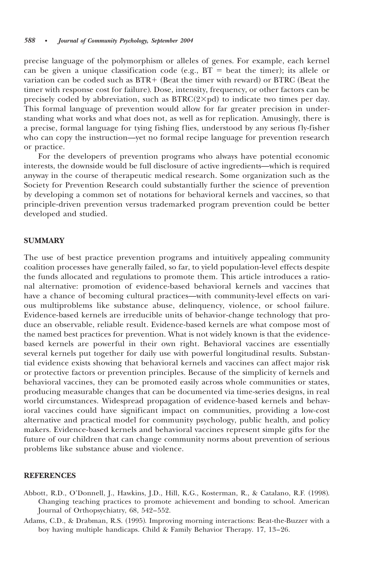precise language of the polymorphism or alleles of genes. For example, each kernel can be given a unique classification code (e.g.,  $BT =$  beat the timer); its allele or variation can be coded such as  $\rm BTR+$  (Beat the timer with reward) or  $\rm BTRC$  (Beat the timer with response cost for failure). Dose, intensity, frequency, or other factors can be precisely coded by abbreviation, such as  $BTRC(2\times pd)$  to indicate two times per day. This formal language of prevention would allow for far greater precision in understanding what works and what does not, as well as for replication. Amusingly, there is a precise, formal language for tying fishing flies, understood by any serious fly-fisher who can copy the instruction—yet no formal recipe language for prevention research or practice.

For the developers of prevention programs who always have potential economic interests, the downside would be full disclosure of active ingredients—which is required anyway in the course of therapeutic medical research. Some organization such as the Society for Prevention Research could substantially further the science of prevention by developing a common set of notations for behavioral kernels and vaccines, so that principle-driven prevention versus trademarked program prevention could be better developed and studied.

## **SUMMARY**

The use of best practice prevention programs and intuitively appealing community coalition processes have generally failed, so far, to yield population-level effects despite the funds allocated and regulations to promote them. This article introduces a rational alternative: promotion of evidence-based behavioral kernels and vaccines that have a chance of becoming cultural practices—with community-level effects on various multiproblems like substance abuse, delinquency, violence, or school failure. Evidence-based kernels are irreducible units of behavior-change technology that produce an observable, reliable result. Evidence-based kernels are what compose most of the named best practices for prevention. What is not widely known is that the evidencebased kernels are powerful in their own right. Behavioral vaccines are essentially several kernels put together for daily use with powerful longitudinal results. Substantial evidence exists showing that behavioral kernels and vaccines can affect major risk or protective factors or prevention principles. Because of the simplicity of kernels and behavioral vaccines, they can be promoted easily across whole communities or states, producing measurable changes that can be documented via time-series designs, in real world circumstances. Widespread propagation of evidence-based kernels and behavioral vaccines could have significant impact on communities, providing a low-cost alternative and practical model for community psychology, public health, and policy makers. Evidence-based kernels and behavioral vaccines represent simple gifts for the future of our children that can change community norms about prevention of serious problems like substance abuse and violence.

### **REFERENCES**

- Abbott, R.D., O'Donnell, J., Hawkins, J.D., Hill, K.G., Kosterman, R., & Catalano, R.F. (1998). Changing teaching practices to promote achievement and bonding to school. American Journal of Orthopsychiatry, 68, 542-552.
- Adams, C.D., & Drabman, R.S. (1995). Improving morning interactions: Beat-the-Buzzer with a boy having multiple handicaps. Child & Family Behavior Therapy. 17, 13–26.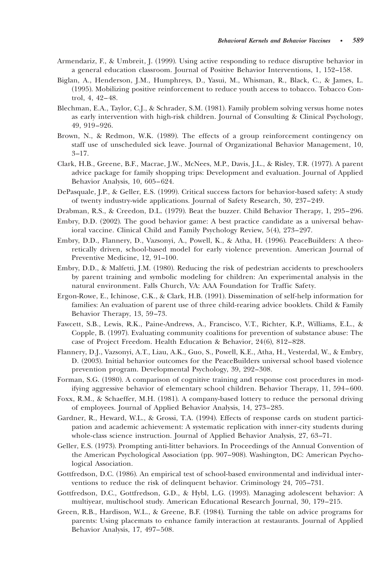- Armendariz, F., & Umbreit, J. (1999). Using active responding to reduce disruptive behavior in a general education classroom. Journal of Positive Behavior Interventions, 1, 152–158.
- Biglan, A., Henderson, J.M., Humphreys, D., Yasui, M., Whisman, R., Black, C., & James, L. ~1995!. Mobilizing positive reinforcement to reduce youth access to tobacco. Tobacco Control, 4, 42–48.
- Blechman, E.A., Taylor, C.J., & Schrader, S.M. (1981). Family problem solving versus home notes as early intervention with high-risk children. Journal of Consulting & Clinical Psychology, 49, 919–926.
- Brown, N., & Redmon, W.K. (1989). The effects of a group reinforcement contingency on staff use of unscheduled sick leave. Journal of Organizational Behavior Management, 10,  $3 - 17$ .
- Clark, H.B., Greene, B.F., Macrae, J.W., McNees, M.P., Davis, J.L., & Risley, T.R. ~1977!. A parent advice package for family shopping trips: Development and evaluation. Journal of Applied Behavior Analysis, 10, 605–624.
- DePasquale, J.P., & Geller, E.S. (1999). Critical success factors for behavior-based safety: A study of twenty industry-wide applications. Journal of Safety Research, 30, 237–249.
- Drabman, R.S., & Creedon, D.L. (1979). Beat the buzzer. Child Behavior Therapy, 1, 295–296.
- Embry, D.D. (2002). The good behavior game: A best practice candidate as a universal behavioral vaccine. Clinical Child and Family Psychology Review,  $5(4)$ ,  $273-297$ .
- Embry, D.D., Flannery, D., Vazsonyi, A., Powell, K., & Atha, H. (1996). PeaceBuilders: A theoretically driven, school-based model for early violence prevention. American Journal of Preventive Medicine, 12, 91–100.
- Embry, D.D., & Malfetti, J.M. (1980). Reducing the risk of pedestrian accidents to preschoolers by parent training and symbolic modeling for children: An experimental analysis in the natural environment. Falls Church, VA: AAA Foundation for Traffic Safety.
- Ergon-Rowe, E., Ichinose, C.K., & Clark, H.B. ~1991!. Dissemination of self-help information for families: An evaluation of parent use of three child-rearing advice booklets. Child & Family Behavior Therapy, 13, 59–73.
- Fawcett, S.B., Lewis, R.K., Paine-Andrews, A., Francisco, V.T., Richter, K.P., Williams, E.L., & Copple, B. (1997). Evaluating community coalitions for prevention of substance abuse: The case of Project Freedom. Health Education & Behavior, 24(6), 812-828.
- Flannery, D.J., Vazsonyi, A.T., Liau, A.K., Guo, S., Powell, K.E., Atha, H., Vesterdal, W., & Embry, D. (2003). Initial behavior outcomes for the PeaceBuilders universal school based violence prevention program. Developmental Psychology, 39, 292–308.
- Forman, S.G. (1980). A comparison of cognitive training and response cost procedures in modifying aggressive behavior of elementary school children. Behavior Therapy, 11, 594 – 600.
- Foxx, R.M., & Schaeffer, M.H. (1981). A company-based lottery to reduce the personal driving of employees. Journal of Applied Behavior Analysis, 14, 273–285.
- Gardner, R., Heward, W.L., & Grossi, T.A. (1994). Effects of response cards on student participation and academic achievement: A systematic replication with inner-city students during whole-class science instruction. Journal of Applied Behavior Analysis, 27, 63–71.
- Geller, E.S. (1973). Prompting anti-litter behaviors. In Proceedings of the Annual Convention of the American Psychological Association (pp. 907–908). Washington, DC: American Psychological Association.
- Gottfredson, D.C. (1986). An empirical test of school-based environmental and individual interventions to reduce the risk of delinquent behavior. Criminology 24, 705–731.
- Gottfredson, D.C., Gottfredson, G.D., & Hybl, L.G. (1993). Managing adolescent behavior: A multiyear, multischool study. American Educational Research Journal, 30, 179–215.
- Green, R.B., Hardison, W.L., & Greene, B.F. (1984). Turning the table on advice programs for parents: Using placemats to enhance family interaction at restaurants. Journal of Applied Behavior Analysis, 17, 497–508.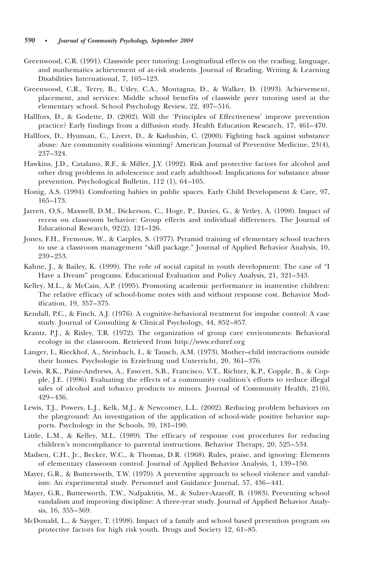- Greenwood, C.R. (1991). Classwide peer tutoring: Longitudinal effects on the reading, language, and mathematics achievement of at-risk students. Journal of Reading, Writing & Learning Disabilities International, 7, 105–123.
- Greenwood, C.R., Terry, B., Utley, C.A., Montagna, D., & Walker, D. (1993). Achievement, placement, and services: Middle school benefits of classwide peer tutoring used at the elementary school. School Psychology Review, 22, 497-516.
- Hallfors, D., & Godette, D. (2002). Will the 'Principles of Effectiveness' improve prevention practice? Early findings from a diffusion study. Health Education Research, 17, 461-470.
- Hallfors, D., Hyunsan, C., Livert, D., & Kadushin, C. (2000). Fighting back against substance abuse: Are community coalitions winning? American Journal of Preventive Medicine, 23(4), 237–324.
- Hawkins, J.D., Catalano, R.F., & Miller, J.Y. (1992). Risk and protective factors for alcohol and other drug problems in adolescence and early adulthood: Implications for substance abuse prevention. Psychological Bulletin,  $112$   $(1)$ ,  $64-105$ .
- Honig, A.S. (1994). Comforting babies in public spaces. Early Child Development & Care, 97, 165–173.
- Jarrett, O.S., Maxwell, D.M., Dickerson, C., Hoge, P., Davies, G., & Yetley, A. (1998). Impact of recess on classroom behavior: Group effects and individual differences. The Journal of Educational Research,  $92(2)$ , 121-126.
- Jones, F.H., Fremouw, W., & Carples, S. (1977). Pyramid training of elementary school teachers to use a classroom management "skill package." Journal of Applied Behavior Analysis, 10, 239–253.
- Kahne, J., & Bailey, K. (1999). The role of social capital in youth development: The case of "I Have a Dream" programs. Educational Evaluation and Policy Analysis, 21, 321–343.
- Kelley, M.L., & McCain, A.P. (1995). Promoting academic performance in inattentive children: The relative efficacy of school-home notes with and without response cost. Behavior Modification, 19, 357–375.
- Kendall, P.C., & Finch, A.J. (1976). A cognitive-behavioral treatment for impulse control: A case study. Journal of Consulting & Clinical Psychology, 44, 852–857.
- Krantz, P.J., & Risley, T.R. (1972). The organization of group care environments: Behavioral ecology in the classroom. Retrieved from http://www.eduref.org
- Langer, I., Rieckhof, A., Steinbach, I., & Tausch, A.M. (1973). Mother–child interactions outside their homes. Psychologie in Erziehung und Unterricht, 20, 361–376.
- Lewis, R.K., Paine-Andrews, A., Fawcett, S.B., Francisco, V.T., Richter, K.P., Copple, B., & Copple, J.E. (1996). Evaluating the effects of a community coalition's efforts to reduce illegal sales of alcohol and tobacco products to minors. Journal of Community Health,  $21(6)$ , 429–436.
- Lewis, T.J., Powers, L.J., Kelk, M.J., & Newcomer, L.L. (2002). Reducing problem behaviors on the playground: An investigation of the application of school-wide positive behavior supports. Psychology in the Schools, 39, 181–190.
- Little, L.M., & Kelley, M.L. (1989). The efficacy of response cost procedures for reducing children's noncompliance to parental instructions. Behavior Therapy, 20, 525– 534.
- Madsen, C.H., Jr., Becker, W.C., & Thomas, D.R. (1968). Rules, praise, and ignoring: Elements of elementary classroom control. Journal of Applied Behavior Analysis, 1, 139–150.
- Mayer, G.R., & Butterworth, T.W. (1979). A preventive approach to school violence and vandalism: An experimental study. Personnel and Guidance Journal, 57, 436 – 441.
- Mayer, G.R., Butterworth, T.W., Nafpaktitis, M., & Sulzer-Azaroff, B. (1983). Preventing school vandalism and improving discipline: A three-year study. Journal of Applied Behavior Analysis, 16, 355–369.
- McDonald, L., & Sayger, T. (1998). Impact of a family and school based prevention program on protective factors for high risk youth. Drugs and Society 12, 61–85.